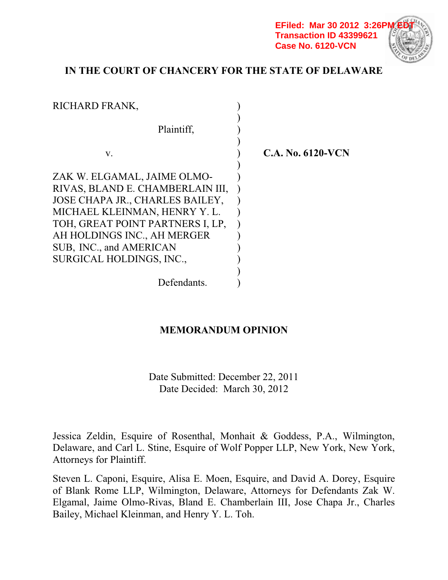**EFiled: Mar 30 2012 3:26P Transaction ID 43399621 Case No. 6120-VCN**

# **IN THE COURT OF CHANCERY FOR THE STATE OF DELAWARE**

| RICHARD FRANK,                                                                                                                                                         |                     |
|------------------------------------------------------------------------------------------------------------------------------------------------------------------------|---------------------|
| Plaintiff,                                                                                                                                                             |                     |
| V.                                                                                                                                                                     | $C.A. No. 6120-VCN$ |
| ZAK W. ELGAMAL, JAIME OLMO-<br>RIVAS, BLAND E. CHAMBERLAIN III,<br>JOSE CHAPA JR., CHARLES BAILEY,<br>MICHAEL KLEINMAN, HENRY Y.L.<br>TOH, GREAT POINT PARTNERS I, LP, |                     |
| AH HOLDINGS INC., AH MERGER<br>SUB, INC., and AMERICAN<br>SURGICAL HOLDINGS, INC.,                                                                                     |                     |
| Defendants.                                                                                                                                                            |                     |

# **MEMORANDUM OPINION**

Date Submitted: December 22, 2011 Date Decided: March 30, 2012

Jessica Zeldin, Esquire of Rosenthal, Monhait & Goddess, P.A., Wilmington, Delaware, and Carl L. Stine, Esquire of Wolf Popper LLP, New York, New York, Attorneys for Plaintiff.

Steven L. Caponi, Esquire, Alisa E. Moen, Esquire, and David A. Dorey, Esquire of Blank Rome LLP, Wilmington, Delaware, Attorneys for Defendants Zak W. Elgamal, Jaime Olmo-Rivas, Bland E. Chamberlain III, Jose Chapa Jr., Charles Bailey, Michael Kleinman, and Henry Y. L. Toh.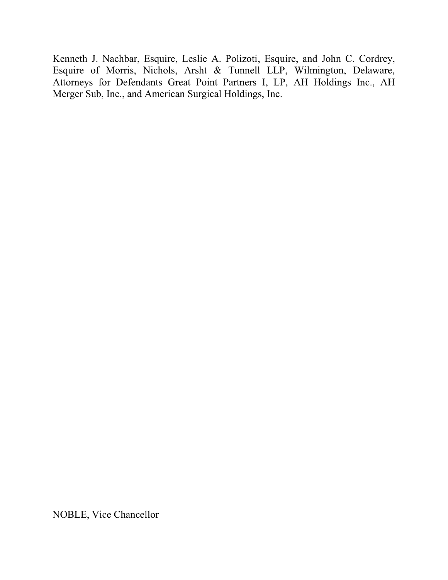Kenneth J. Nachbar, Esquire, Leslie A. Polizoti, Esquire, and John C. Cordrey, Esquire of Morris, Nichols, Arsht & Tunnell LLP, Wilmington, Delaware, Attorneys for Defendants Great Point Partners I, LP, AH Holdings Inc., AH Merger Sub, Inc., and American Surgical Holdings, Inc.

NOBLE, Vice Chancellor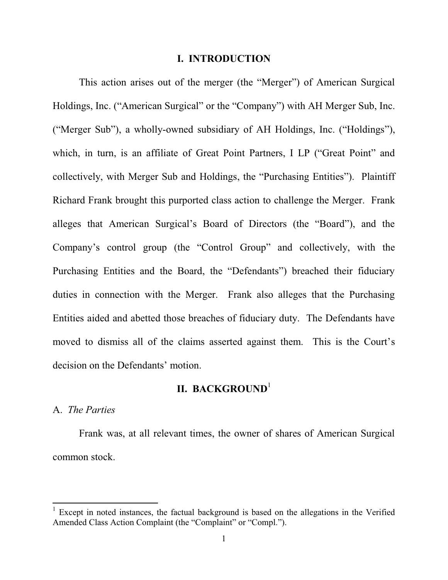#### **I. INTRODUCTION**

This action arises out of the merger (the "Merger") of American Surgical Holdings, Inc. ("American Surgical" or the "Company") with AH Merger Sub, Inc. ("Merger Sub"), a wholly-owned subsidiary of AH Holdings, Inc. ("Holdings"), which, in turn, is an affiliate of Great Point Partners, I LP ("Great Point" and collectively, with Merger Sub and Holdings, the "Purchasing Entities"). Plaintiff Richard Frank brought this purported class action to challenge the Merger. Frank alleges that American Surgical's Board of Directors (the "Board"), and the Company's control group (the "Control Group" and collectively, with the Purchasing Entities and the Board, the "Defendants") breached their fiduciary duties in connection with the Merger. Frank also alleges that the Purchasing Entities aided and abetted those breaches of fiduciary duty. The Defendants have moved to dismiss all of the claims asserted against them. This is the Court's decision on the Defendants' motion.

## **II. BACKGROUND**<sup>1</sup>

#### A. *The Parties*

 $\overline{a}$ 

Frank was, at all relevant times, the owner of shares of American Surgical common stock.

<sup>&</sup>lt;sup>1</sup> Except in noted instances, the factual background is based on the allegations in the Verified Amended Class Action Complaint (the "Complaint" or "Compl.").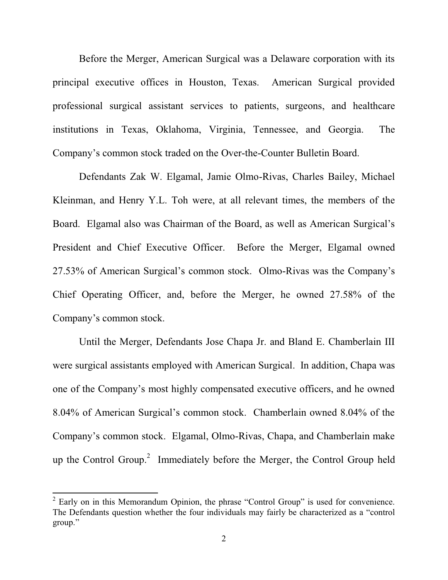Before the Merger, American Surgical was a Delaware corporation with its principal executive offices in Houston, Texas. American Surgical provided professional surgical assistant services to patients, surgeons, and healthcare institutions in Texas, Oklahoma, Virginia, Tennessee, and Georgia. The Company's common stock traded on the Over-the-Counter Bulletin Board.

 Defendants Zak W. Elgamal, Jamie Olmo-Rivas, Charles Bailey, Michael Kleinman, and Henry Y.L. Toh were, at all relevant times, the members of the Board. Elgamal also was Chairman of the Board, as well as American Surgical's President and Chief Executive Officer. Before the Merger, Elgamal owned 27.53% of American Surgical's common stock. Olmo-Rivas was the Company's Chief Operating Officer, and, before the Merger, he owned 27.58% of the Company's common stock.

 Until the Merger, Defendants Jose Chapa Jr. and Bland E. Chamberlain III were surgical assistants employed with American Surgical. In addition, Chapa was one of the Company's most highly compensated executive officers, and he owned 8.04% of American Surgical's common stock. Chamberlain owned 8.04% of the Company's common stock. Elgamal, Olmo-Rivas, Chapa, and Chamberlain make up the Control Group.<sup>2</sup> Immediately before the Merger, the Control Group held

 $2$  Early on in this Memorandum Opinion, the phrase "Control Group" is used for convenience. The Defendants question whether the four individuals may fairly be characterized as a "control  $\gamma$ group."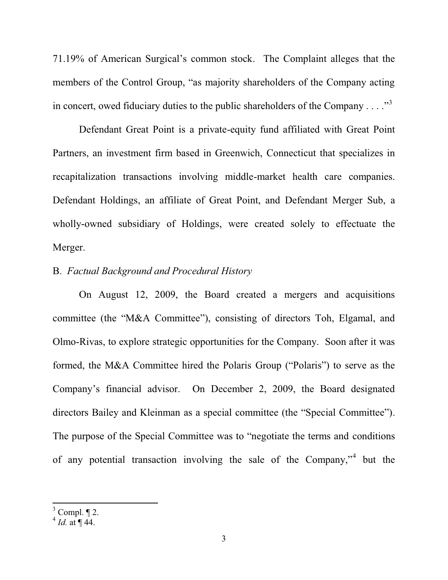71.19% of American Surgical's common stock. The Complaint alleges that the members of the Control Group, "as majority shareholders of the Company acting in concert, owed fiduciary duties to the public shareholders of the Company . . . ..<sup>33</sup>

 Defendant Great Point is a private-equity fund affiliated with Great Point Partners, an investment firm based in Greenwich, Connecticut that specializes in recapitalization transactions involving middle-market health care companies. Defendant Holdings, an affiliate of Great Point, and Defendant Merger Sub, a wholly-owned subsidiary of Holdings, were created solely to effectuate the Merger.

## B. *Factual Background and Procedural History*

 On August 12, 2009, the Board created a mergers and acquisitions committee (the "M&A Committee"), consisting of directors Toh, Elgamal, and Olmo-Rivas, to explore strategic opportunities for the Company. Soon after it was formed, the M&A Committee hired the Polaris Group ("Polaris") to serve as the Company's financial advisor. On December 2, 2009, the Board designated directors Bailey and Kleinman as a special committee (the "Special Committee"). The purpose of the Special Committee was to "negotiate the terms and conditions" of any potential transaction involving the sale of the Company," but the

 $3$  Compl.  $\P$  2.

 $^{4}$  *Id.* at  $\P$  44.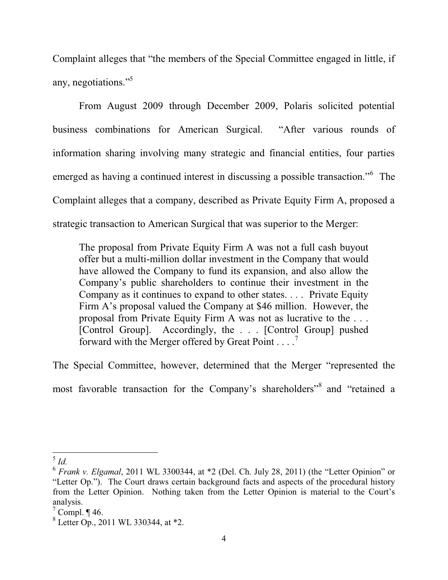Complaint alleges that "the members of the Special Committee engaged in little, if any, negotiations." $\frac{3}{5}$ 

From August 2009 through December 2009, Polaris solicited potential business combinations for American Surgical. "After various rounds of information sharing involving many strategic and financial entities, four parties emerged as having a continued interest in discussing a possible transaction."<sup>6</sup> The Complaint alleges that a company, described as Private Equity Firm A, proposed a strategic transaction to American Surgical that was superior to the Merger:

The proposal from Private Equity Firm A was not a full cash buyout offer but a multi-million dollar investment in the Company that would have allowed the Company to fund its expansion, and also allow the Company's public shareholders to continue their investment in the Company as it continues to expand to other states. . . . Private Equity Firm A's proposal valued the Company at \$46 million. However, the proposal from Private Equity Firm A was not as lucrative to the . . . [Control Group]. Accordingly, the . . . [Control Group] pushed forward with the Merger offered by Great Point  $\dots$ .

The Special Committee, however, determined that the Merger "represented the most favorable transaction for the Company's shareholders<sup>38</sup> and "retained a

 $^5$  *Id.* 

 $6$  *Frank v. Elgamal*, 2011 WL 3300344, at  $*2$  (Del. Ch. July 28, 2011) (the "Letter Opinion" or "Letter Op."). The Court draws certain background facts and aspects of the procedural history from the Letter Opinion. Nothing taken from the Letter Opinion is material to the Court's analysis.

 $7$  Compl. ¶ 46.

<sup>8</sup> Letter Op., 2011 WL 330344, at \*2.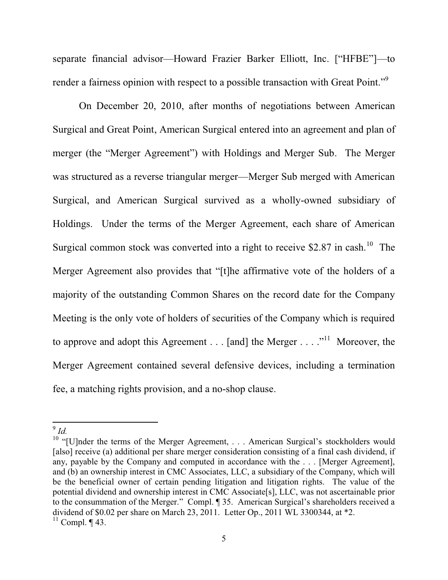separate financial advisor—Howard Frazier Barker Elliott, Inc. ["HFBE"]—to render a fairness opinion with respect to a possible transaction with Great Point."<sup>9</sup>

On December 20, 2010, after months of negotiations between American Surgical and Great Point, American Surgical entered into an agreement and plan of merger (the "Merger Agreement") with Holdings and Merger Sub. The Merger was structured as a reverse triangular merger—Merger Sub merged with American Surgical, and American Surgical survived as a wholly-owned subsidiary of Holdings. Under the terms of the Merger Agreement, each share of American Surgical common stock was converted into a right to receive  $$2.87$  in cash.<sup>10</sup> The Merger Agreement also provides that "[t]he affirmative vote of the holders of a majority of the outstanding Common Shares on the record date for the Company Meeting is the only vote of holders of securities of the Company which is required to approve and adopt this Agreement . . . [and] the Merger . . . .<sup>11</sup> Moreover, the Merger Agreement contained several defensive devices, including a termination fee, a matching rights provision, and a no-shop clause.

<sup>&</sup>lt;sup>9</sup> *Id.*<br><sup>10</sup> "[U]nder the terms of the Merger Agreement, ... American Surgical's stockholders would [also] receive (a) additional per share merger consideration consisting of a final cash dividend, if any, payable by the Company and computed in accordance with the . . . [Merger Agreement], and (b) an ownership interest in CMC Associates, LLC, a subsidiary of the Company, which will be the beneficial owner of certain pending litigation and litigation rights. The value of the potential dividend and ownership interest in CMC Associate[s], LLC, was not ascertainable prior to the consummation of the Merger." Compl. ¶ 35. American Surgical's shareholders received a dividend of \$0.02 per share on March 23, 2011. Letter Op., 2011 WL 3300344, at \*2.

 $11$  Compl. ¶ 43.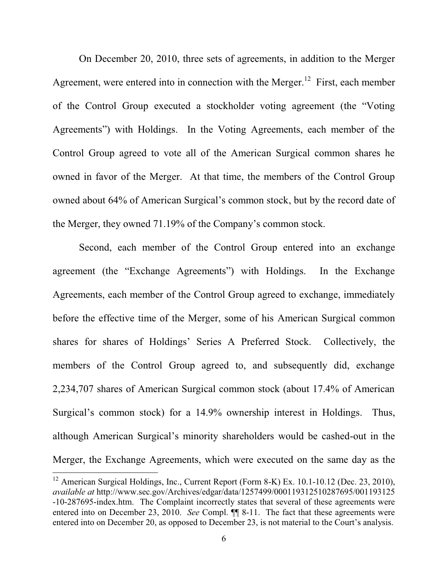On December 20, 2010, three sets of agreements, in addition to the Merger Agreement, were entered into in connection with the Merger.<sup>12</sup> First, each member of the Control Group executed a stockholder voting agreement (the "Voting" Agreements") with Holdings. In the Voting Agreements, each member of the Control Group agreed to vote all of the American Surgical common shares he owned in favor of the Merger. At that time, the members of the Control Group owned about 64% of American Surgical's common stock, but by the record date of the Merger, they owned  $71.19\%$  of the Company's common stock.

Second, each member of the Control Group entered into an exchange agreement (the "Exchange Agreements") with Holdings. In the Exchange Agreements, each member of the Control Group agreed to exchange, immediately before the effective time of the Merger, some of his American Surgical common shares for shares of Holdings' Series A Preferred Stock. Collectively, the members of the Control Group agreed to, and subsequently did, exchange 2,234,707 shares of American Surgical common stock (about 17.4% of American Surgical's common stock) for a 14.9% ownership interest in Holdings. Thus, although American Surgical's minority shareholders would be cashed-out in the Merger, the Exchange Agreements, which were executed on the same day as the

<sup>&</sup>lt;sup>12</sup> American Surgical Holdings, Inc., Current Report (Form 8-K) Ex. 10.1-10.12 (Dec. 23, 2010), *available at* http://www.sec.gov/Archives/edgar/data/1257499/000119312510287695/001193125 -10-287695-index.htm. The Complaint incorrectly states that several of these agreements were entered into on December 23, 2010. *See* Compl. ¶¶ 8-11. The fact that these agreements were entered into on December 20, as opposed to December 23, is not material to the Court's analysis.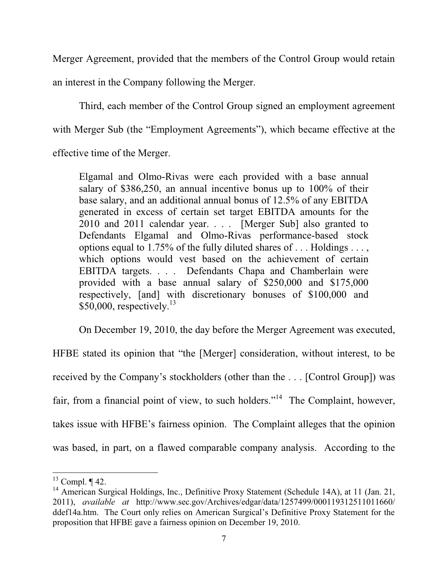Merger Agreement, provided that the members of the Control Group would retain an interest in the Company following the Merger.

Third, each member of the Control Group signed an employment agreement with Merger Sub (the "Employment Agreements"), which became effective at the effective time of the Merger.

Elgamal and Olmo-Rivas were each provided with a base annual salary of \$386,250, an annual incentive bonus up to 100% of their base salary, and an additional annual bonus of 12.5% of any EBITDA generated in excess of certain set target EBITDA amounts for the 2010 and 2011 calendar year. . . . [Merger Sub] also granted to Defendants Elgamal and Olmo-Rivas performance-based stock options equal to 1.75% of the fully diluted shares of . . . Holdings . . . , which options would vest based on the achievement of certain EBITDA targets. . . . Defendants Chapa and Chamberlain were provided with a base annual salary of \$250,000 and \$175,000 respectively, [and] with discretionary bonuses of \$100,000 and  $$50,000$ , respectively.<sup>13</sup>

On December 19, 2010, the day before the Merger Agreement was executed,

HFBE stated its opinion that "the [Merger] consideration, without interest, to be received by the Company's stockholders (other than the ... [Control Group]) was fair, from a financial point of view, to such holders."<sup>14</sup> The Complaint, however, takes issue with HFBE's fairness opinion. The Complaint alleges that the opinion was based, in part, on a flawed comparable company analysis. According to the

 $13$  Compl.  $\P$  42.

<sup>&</sup>lt;sup>14</sup> American Surgical Holdings, Inc., Definitive Proxy Statement (Schedule 14A), at 11 (Jan. 21, 2011), *available at* http://www.sec.gov/Archives/edgar/data/1257499/000119312511011660/ ddef14a.htm. The Court only relies on American Surgical's Definitive Proxy Statement for the proposition that HFBE gave a fairness opinion on December 19, 2010.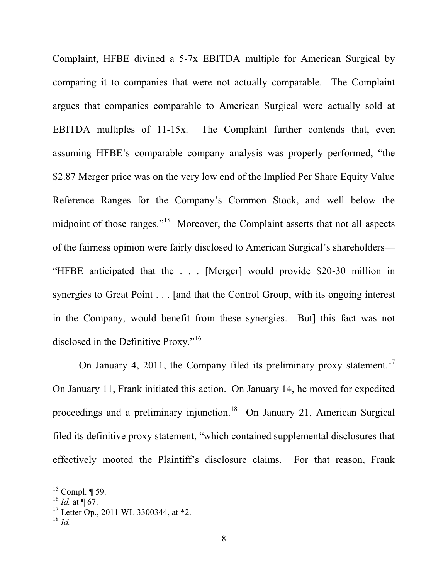Complaint, HFBE divined a 5-7x EBITDA multiple for American Surgical by comparing it to companies that were not actually comparable. The Complaint argues that companies comparable to American Surgical were actually sold at EBITDA multiples of 11-15x. The Complaint further contends that, even assuming HFBE's comparable company analysis was properly performed, "the \$2.87 Merger price was on the very low end of the Implied Per Share Equity Value Reference Ranges for the Company's Common Stock, and well below the midpoint of those ranges."<sup>15</sup> Moreover, the Complaint asserts that not all aspects of the fairness opinion were fairly disclosed to American Surgical's shareholders— "HFBE anticipated that the  $\ldots$  [Merger] would provide \$20-30 million in synergies to Great Point . . . [and that the Control Group, with its ongoing interest in the Company, would benefit from these synergies. But] this fact was not disclosed in the Definitive Proxy." $16$ 

On January 4, 2011, the Company filed its preliminary proxy statement.<sup>17</sup> On January 11, Frank initiated this action. On January 14, he moved for expedited proceedings and a preliminary injunction.<sup>18</sup> On January 21, American Surgical filed its definitive proxy statement, "which contained supplemental disclosures that effectively mooted the Plaintiff's disclosure claims. For that reason, Frank

 $15$  Compl.  $\P$  59.

 $^{16}$  *Id.* at  $\sqrt{67}$ .

<sup>&</sup>lt;sup>17</sup> Letter Op., 2011 WL 3300344, at  $*2$ .

<sup>18</sup> *Id.*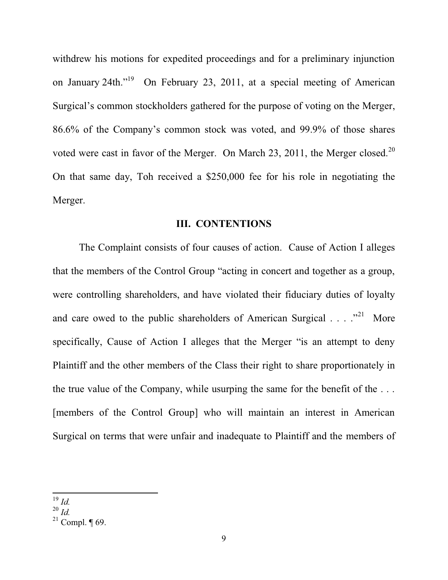withdrew his motions for expedited proceedings and for a preliminary injunction on January 24th."<sup>19</sup> On February 23, 2011, at a special meeting of American Surgical's common stockholders gathered for the purpose of voting on the Merger,  $86.6\%$  of the Company's common stock was voted, and 99.9% of those shares voted were cast in favor of the Merger. On March 23, 2011, the Merger closed.<sup>20</sup> On that same day, Toh received a \$250,000 fee for his role in negotiating the Merger.

#### **III. CONTENTIONS**

The Complaint consists of four causes of action. Cause of Action I alleges that the members of the Control Group "acting in concert and together as a group, were controlling shareholders, and have violated their fiduciary duties of loyalty and care owed to the public shareholders of American Surgical  $\ldots$   $\cdot$ <sup>21</sup> More specifically, Cause of Action I alleges that the Merger "is an attempt to deny Plaintiff and the other members of the Class their right to share proportionately in the true value of the Company, while usurping the same for the benefit of the . . . [members of the Control Group] who will maintain an interest in American Surgical on terms that were unfair and inadequate to Plaintiff and the members of

<sup>19</sup> *Id.*

<sup>20</sup> *Id.*

<sup>&</sup>lt;sup>21</sup> Compl.  $\P$  69.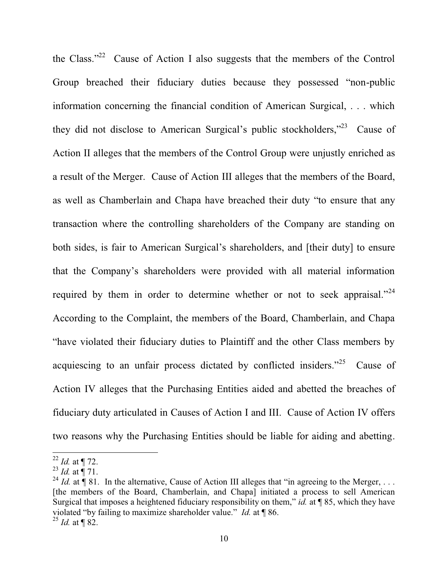the Class."<sup>22</sup> Cause of Action I also suggests that the members of the Control Group breached their fiduciary duties because they possessed "non-public information concerning the financial condition of American Surgical, . . . which they did not disclose to American Surgical's public stockholders,"<sup>23</sup> Cause of Action II alleges that the members of the Control Group were unjustly enriched as a result of the Merger. Cause of Action III alleges that the members of the Board, as well as Chamberlain and Chapa have breached their duty "to ensure that any transaction where the controlling shareholders of the Company are standing on both sides, is fair to American Surgical's shareholders, and [their duty] to ensure that the Company's shareholders were provided with all material information required by them in order to determine whether or not to seek appraisal."<sup>24</sup> According to the Complaint, the members of the Board, Chamberlain, and Chapa "have violated their fiduciary duties to Plaintiff and the other Class members by acquiescing to an unfair process dictated by conflicted insiders.<sup> $25$ </sup> Cause of Action IV alleges that the Purchasing Entities aided and abetted the breaches of fiduciary duty articulated in Causes of Action I and III. Cause of Action IV offers two reasons why the Purchasing Entities should be liable for aiding and abetting.

<sup>22</sup> *Id.* at ¶ 72.

<sup>23</sup> *Id.* at ¶ 71.

<sup>&</sup>lt;sup>24</sup> *Id.* at  $\int$  81. In the alternative, Cause of Action III alleges that "in agreeing to the Merger, ... [the members of the Board, Chamberlain, and Chapa] initiated a process to sell American Surgical that imposes a heightened fiduciary responsibility on them," *id.* at  $\P$  85, which they have violated "by failing to maximize shareholder value." *Id.* at **[86.**]  $^{25}$  *Id.* at ¶ 82.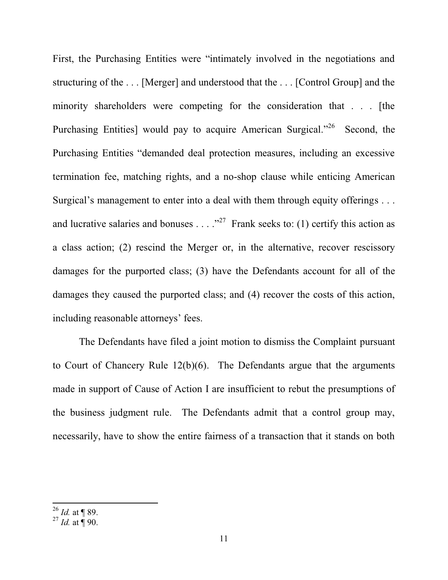First, the Purchasing Entities were "intimately involved in the negotiations and structuring of the . . . [Merger] and understood that the . . . [Control Group] and the minority shareholders were competing for the consideration that . . . [the Purchasing Entities] would pay to acquire American Surgical.<sup> $26$ </sup> Second, the Purchasing Entities "demanded deal protection measures, including an excessive termination fee, matching rights, and a no-shop clause while enticing American Surgical's management to enter into a deal with them through equity offerings . . . and lucrative salaries and bonuses . . . . "<sup>27</sup> Frank seeks to: (1) certify this action as a class action; (2) rescind the Merger or, in the alternative, recover rescissory damages for the purported class; (3) have the Defendants account for all of the damages they caused the purported class; and (4) recover the costs of this action, including reasonable attorneys' fees.

The Defendants have filed a joint motion to dismiss the Complaint pursuant to Court of Chancery Rule 12(b)(6). The Defendants argue that the arguments made in support of Cause of Action I are insufficient to rebut the presumptions of the business judgment rule. The Defendants admit that a control group may, necessarily, have to show the entire fairness of a transaction that it stands on both

 $^{26}$  *Id.* at ¶ 89.

 $^{27}$  *Id.* at  $\frac{1}{9}$  90.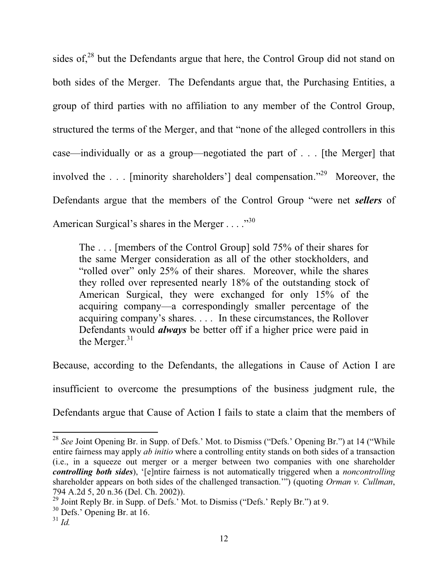sides of, $28$  but the Defendants argue that here, the Control Group did not stand on both sides of the Merger. The Defendants argue that, the Purchasing Entities, a group of third parties with no affiliation to any member of the Control Group, structured the terms of the Merger, and that "none of the alleged controllers in this case—individually or as a group—negotiated the part of  $\ldots$  [the Merger] that involved the ... [minority shareholders'] deal compensation.<sup> $29$ </sup> Moreover, the Defendants argue that the members of the Control Group "were net *sellers* of American Surgical's shares in the Merger  $\dots$  ...<sup>30</sup>

The . . . [members of the Control Group] sold 75% of their shares for the same Merger consideration as all of the other stockholders, and "rolled over" only 25% of their shares. Moreover, while the shares they rolled over represented nearly 18% of the outstanding stock of American Surgical, they were exchanged for only 15% of the acquiring company—a correspondingly smaller percentage of the acquiring company's shares.... In these circumstances, the Rollover Defendants would *always* be better off if a higher price were paid in the Merger. $31$ 

Because, according to the Defendants, the allegations in Cause of Action I are insufficient to overcome the presumptions of the business judgment rule, the Defendants argue that Cause of Action I fails to state a claim that the members of

<sup>&</sup>lt;sup>28</sup> See Joint Opening Br. in Supp. of Defs.' Mot. to Dismiss ("Defs.' Opening Br.") at 14 ("While entire fairness may apply *ab initio* where a controlling entity stands on both sides of a transaction (i.e., in a squeeze out merger or a merger between two companies with one shareholder *controlling both sides*), '[e]ntire fairness is not automatically triggered when a *noncontrolling* shareholder appears on both sides of the challenged transaction."") (quoting *Orman v. Cullman*, 794 A.2d 5, 20 n.36 (Del. Ch. 2002)).

<sup>&</sup>lt;sup>29</sup> Joint Reply Br. in Supp. of Defs.' Mot. to Dismiss ("Defs.' Reply Br.") at 9.

 $30$  Defs.' Opening Br. at 16.

 $31$  *Id.*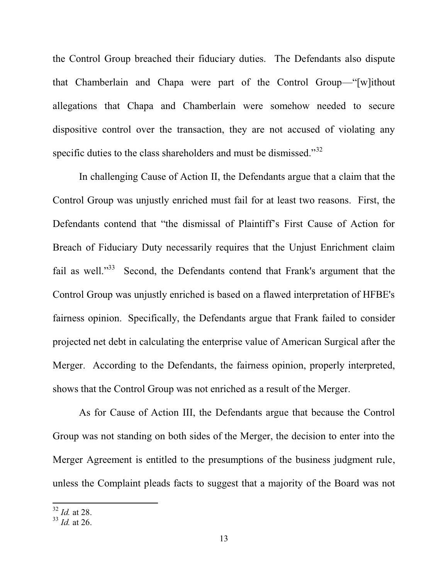the Control Group breached their fiduciary duties. The Defendants also dispute that Chamberlain and Chapa were part of the Control Group—"[w]ithout allegations that Chapa and Chamberlain were somehow needed to secure dispositive control over the transaction, they are not accused of violating any specific duties to the class shareholders and must be dismissed."<sup>32</sup>

In challenging Cause of Action II, the Defendants argue that a claim that the Control Group was unjustly enriched must fail for at least two reasons. First, the Defendants contend that "the dismissal of Plaintiff's First Cause of Action for Breach of Fiduciary Duty necessarily requires that the Unjust Enrichment claim fail as well. $33$  Second, the Defendants contend that Frank's argument that the Control Group was unjustly enriched is based on a flawed interpretation of HFBE's fairness opinion. Specifically, the Defendants argue that Frank failed to consider projected net debt in calculating the enterprise value of American Surgical after the Merger. According to the Defendants, the fairness opinion, properly interpreted, shows that the Control Group was not enriched as a result of the Merger.

As for Cause of Action III, the Defendants argue that because the Control Group was not standing on both sides of the Merger, the decision to enter into the Merger Agreement is entitled to the presumptions of the business judgment rule, unless the Complaint pleads facts to suggest that a majority of the Board was not

<sup>32</sup> *Id.* at 28.

<sup>33</sup> *Id.* at 26.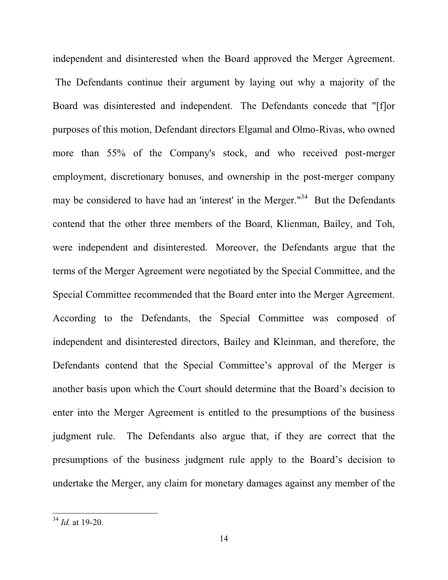independent and disinterested when the Board approved the Merger Agreement. The Defendants continue their argument by laying out why a majority of the Board was disinterested and independent. The Defendants concede that "[f]or purposes of this motion, Defendant directors Elgamal and Olmo-Rivas, who owned more than 55% of the Company's stock, and who received post-merger employment, discretionary bonuses, and ownership in the post-merger company may be considered to have had an 'interest' in the Merger."<sup>34</sup> But the Defendants contend that the other three members of the Board, Klienman, Bailey, and Toh, were independent and disinterested. Moreover, the Defendants argue that the terms of the Merger Agreement were negotiated by the Special Committee, and the Special Committee recommended that the Board enter into the Merger Agreement. According to the Defendants, the Special Committee was composed of independent and disinterested directors, Bailey and Kleinman, and therefore, the Defendants contend that the Special Committee's approval of the Merger is another basis upon which the Court should determine that the Board's decision to enter into the Merger Agreement is entitled to the presumptions of the business judgment rule. The Defendants also argue that, if they are correct that the presumptions of the business judgment rule apply to the Board's decision to undertake the Merger, any claim for monetary damages against any member of the

<sup>34</sup> *Id.* at 19-20.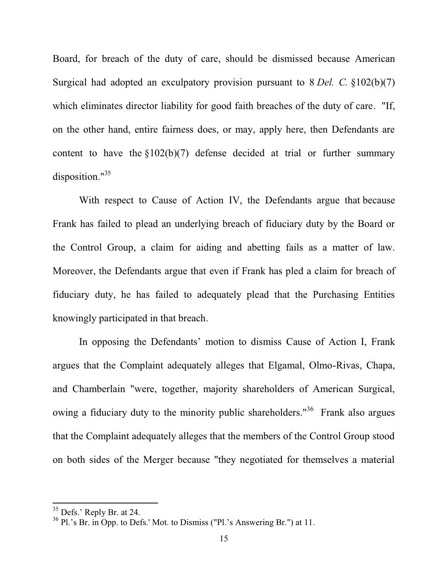Board, for breach of the duty of care, should be dismissed because American Surgical had adopted an exculpatory provision pursuant to 8 *Del. C.* §102(b)(7) which eliminates director liability for good faith breaches of the duty of care. "If, on the other hand, entire fairness does, or may, apply here, then Defendants are content to have the  $$102(b)(7)$  defense decided at trial or further summary disposition."<sup>35</sup>

With respect to Cause of Action IV, the Defendants argue that because Frank has failed to plead an underlying breach of fiduciary duty by the Board or the Control Group, a claim for aiding and abetting fails as a matter of law. Moreover, the Defendants argue that even if Frank has pled a claim for breach of fiduciary duty, he has failed to adequately plead that the Purchasing Entities knowingly participated in that breach.

In opposing the Defendants' motion to dismiss Cause of Action I, Frank argues that the Complaint adequately alleges that Elgamal, Olmo-Rivas, Chapa, and Chamberlain "were, together, majority shareholders of American Surgical, owing a fiduciary duty to the minority public shareholders."<sup>36</sup> Frank also argues that the Complaint adequately alleges that the members of the Control Group stood on both sides of the Merger because "they negotiated for themselves a material

 $35$  Defs.' Reply Br. at 24.

 $36$  Pl.'s Br. in Opp. to Defs.' Mot. to Dismiss ("Pl.'s Answering Br.") at 11.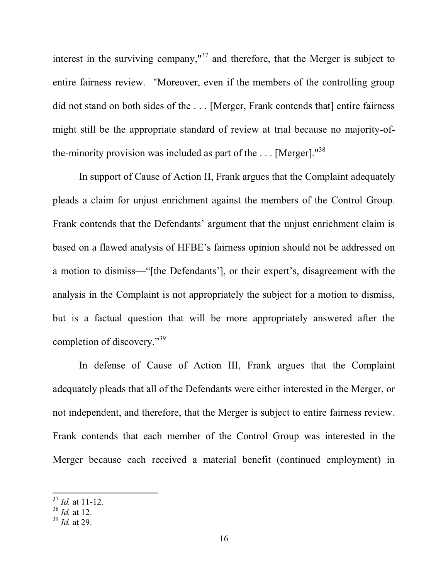interest in the surviving company," $37$  and therefore, that the Merger is subject to entire fairness review. "Moreover, even if the members of the controlling group did not stand on both sides of the ... [Merger, Frank contends that] entire fairness might still be the appropriate standard of review at trial because no majority-ofthe-minority provision was included as part of the  $\dots$  [Merger].<sup>"38</sup>

In support of Cause of Action II, Frank argues that the Complaint adequately pleads a claim for unjust enrichment against the members of the Control Group. Frank contends that the Defendants' argument that the unjust enrichment claim is based on a flawed analysis of HFBE's fairness opinion should not be addressed on a motion to dismiss—"[the Defendants'], or their expert's, disagreement with the analysis in the Complaint is not appropriately the subject for a motion to dismiss, but is a factual question that will be more appropriately answered after the completion of discovery." $39$ 

In defense of Cause of Action III, Frank argues that the Complaint adequately pleads that all of the Defendants were either interested in the Merger, or not independent, and therefore, that the Merger is subject to entire fairness review. Frank contends that each member of the Control Group was interested in the Merger because each received a material benefit (continued employment) in

<sup>37</sup> *Id.* at 11-12.

<sup>38</sup> *Id.* at 12.

<sup>39</sup> *Id.* at 29.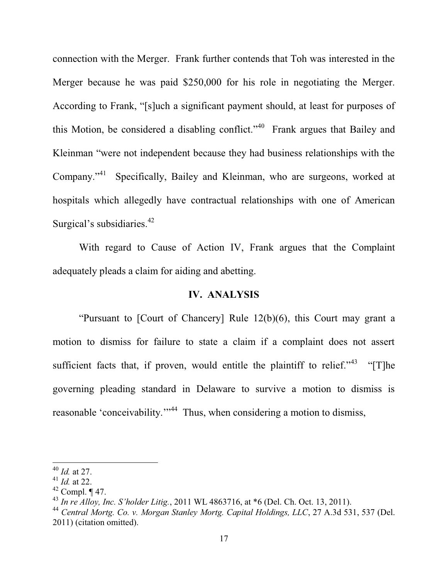connection with the Merger. Frank further contends that Toh was interested in the Merger because he was paid \$250,000 for his role in negotiating the Merger. According to Frank, "[s]uch a significant payment should, at least for purposes of this Motion, be considered a disabling conflict."<sup>40</sup> Frank argues that Bailey and Kleinman "were not independent because they had business relationships with the Company."<sup>41</sup> Specifically, Bailey and Kleinman, who are surgeons, worked at hospitals which allegedly have contractual relationships with one of American Surgical's subsidiaries. $42$ 

 With regard to Cause of Action IV, Frank argues that the Complaint adequately pleads a claim for aiding and abetting.

#### **IV. ANALYSIS**

"Pursuant to  $[Country]$  Rule  $12(b)(6)$ , this Court may grant a motion to dismiss for failure to state a claim if a complaint does not assert sufficient facts that, if proven, would entitle the plaintiff to relief.<sup> $343$ </sup> "The governing pleading standard in Delaware to survive a motion to dismiss is reasonable 'conceivability."<sup>44</sup> Thus, when considering a motion to dismiss,

<sup>40</sup> *Id.* at 27.

<sup>41</sup> *Id.* at 22.

 $42$  Compl.  $\P$  47.

<sup>&</sup>lt;sup>43</sup> *In re Alloy, Inc. S'holder Litig.*, 2011 WL 4863716, at  $*6$  (Del. Ch. Oct. 13, 2011).

<sup>44</sup> *Central Mortg. Co. v. Morgan Stanley Mortg. Capital Holdings, LLC*, 27 A.3d 531, 537 (Del. 2011) (citation omitted).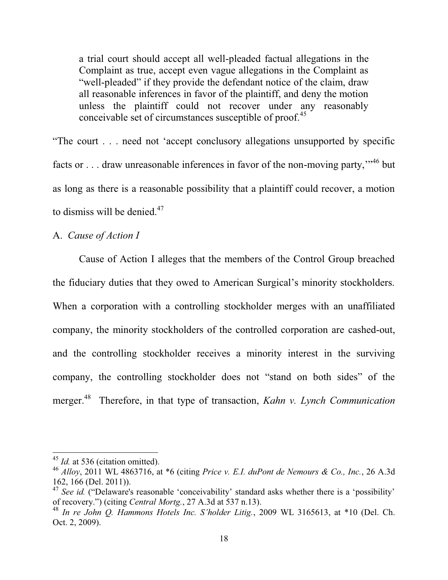a trial court should accept all well-pleaded factual allegations in the Complaint as true, accept even vague allegations in the Complaint as "well-pleaded" if they provide the defendant notice of the claim, draw all reasonable inferences in favor of the plaintiff, and deny the motion unless the plaintiff could not recover under any reasonably conceivable set of circumstances susceptible of proof.<sup>45</sup>

"The court  $\ldots$  need not 'accept conclusory allegations unsupported by specific facts or . . . draw unreasonable inferences in favor of the non-moving party,"<sup>46</sup> but as long as there is a reasonable possibility that a plaintiff could recover, a motion to dismiss will be denied.<sup>47</sup>

#### A. *Cause of Action I*

 Cause of Action I alleges that the members of the Control Group breached the fiduciary duties that they owed to American Surgical's minority stockholders. When a corporation with a controlling stockholder merges with an unaffiliated company, the minority stockholders of the controlled corporation are cashed-out, and the controlling stockholder receives a minority interest in the surviving company, the controlling stockholder does not "stand on both sides" of the merger.48 Therefore, in that type of transaction, *Kahn v. Lynch Communication* 

<sup>&</sup>lt;sup>45</sup> *Id.* at 536 (citation omitted).

<sup>46</sup> *Alloy*, 2011 WL 4863716, at \*6 (citing *Price v. E.I. duPont de Nemours & Co., Inc.*, 26 A.3d 162, 166 (Del. 2011)).

<sup>&</sup>lt;sup>47</sup> See id. ("Delaware's reasonable 'conceivability' standard asks whether there is a 'possibility' of recovery.") (citing *Central Mortg.*, 27 A.3d at 537 n.13).

<sup>&</sup>lt;sup>48</sup> In re John O. Hammons Hotels Inc. S'holder Litig., 2009 WL 3165613, at \*10 (Del. Ch. Oct. 2, 2009).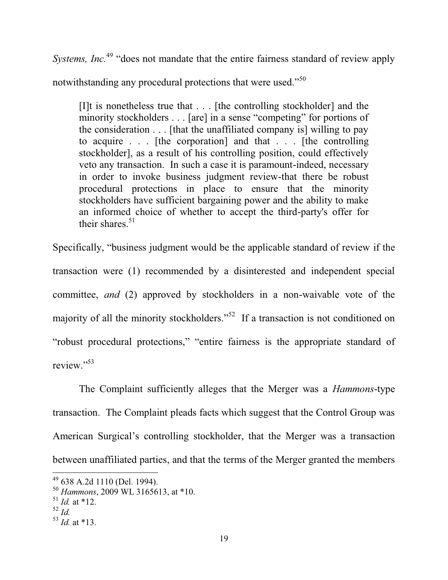*Systems, Inc.*<sup>49</sup> "does not mandate that the entire fairness standard of review apply notwithstanding any procedural protections that were used."<sup>50</sup>

[I]t is nonetheless true that . . . [the controlling stockholder] and the minority stockholders . . . [are] in a sense "competing" for portions of the consideration  $\ldots$  [that the unaffiliated company is] willing to pay to acquire . . . [the corporation] and that . . . [the controlling stockholder], as a result of his controlling position, could effectively veto any transaction. In such a case it is paramount-indeed, necessary in order to invoke business judgment review-that there be robust procedural protections in place to ensure that the minority stockholders have sufficient bargaining power and the ability to make an informed choice of whether to accept the third-party's offer for their shares. $51$ 

Specifically, "business judgment would be the applicable standard of review if the transaction were (1) recommended by a disinterested and independent special committee, *and* (2) approved by stockholders in a non-waivable vote of the majority of all the minority stockholders."<sup>52</sup> If a transaction is not conditioned on "robust procedural protections," "entire fairness is the appropriate standard of review." $53$ 

 The Complaint sufficiently alleges that the Merger was a *Hammons*-type transaction. The Complaint pleads facts which suggest that the Control Group was American Surgical's controlling stockholder, that the Merger was a transaction between unaffiliated parties, and that the terms of the Merger granted the members

<sup>49 638</sup> A.2d 1110 (Del. 1994).

<sup>50</sup> *Hammons*, 2009 WL 3165613, at \*10.

 $^{51}$  *Id.* at \*12.

<sup>52</sup> *Id.*

 $^{53}$  *Id.* at \*13.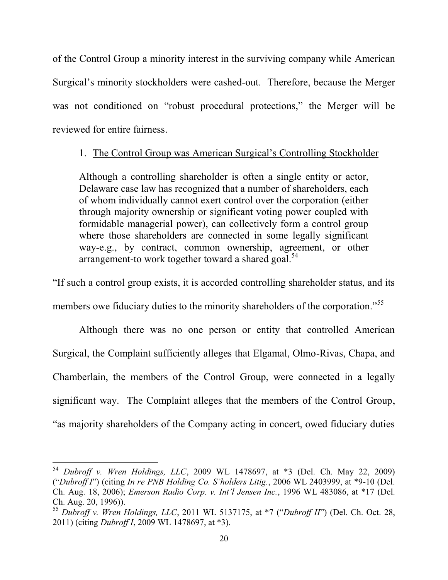of the Control Group a minority interest in the surviving company while American Surgical's minority stockholders were cashed-out. Therefore, because the Merger was not conditioned on "robust procedural protections," the Merger will be reviewed for entire fairness.

## 1. The Control Group was American Surgical's Controlling Stockholder

Although a controlling shareholder is often a single entity or actor, Delaware case law has recognized that a number of shareholders, each of whom individually cannot exert control over the corporation (either through majority ownership or significant voting power coupled with formidable managerial power), can collectively form a control group where those shareholders are connected in some legally significant way-e.g., by contract, common ownership, agreement, or other arrangement-to work together toward a shared goal.<sup>54</sup>

"If such a control group exists, it is accorded controlling shareholder status, and its

members owe fiduciary duties to the minority shareholders of the corporation.<sup>555</sup>

Although there was no one person or entity that controlled American Surgical, the Complaint sufficiently alleges that Elgamal, Olmo-Rivas, Chapa, and Chamberlain, the members of the Control Group, were connected in a legally significant way. The Complaint alleges that the members of the Control Group, "as majority shareholders of the Company acting in concert, owed fiduciary duties

<sup>54</sup> *Dubroff v. Wren Holdings, LLC*, 2009 WL 1478697, at \*3 (Del. Ch. May 22, 2009) *("Dubroff I")* (citing *In re PNB Holding Co. S'holders Litig.*, 2006 WL 2403999, at \*9-10 (Del.) Ch. Aug. 18, 2006); *Emerson Radio Corp. v. Int'l Jensen Inc.*, 1996 WL 483086, at \*17 (Del. Ch. Aug. 20, 1996)).

<sup>&</sup>lt;sup>55</sup> Dubroff v. Wren Holdings, LLC, 2011 WL 5137175, at \*7 ("Dubroff II") (Del. Ch. Oct. 28, 2011) (citing *Dubroff I*, 2009 WL 1478697, at \*3).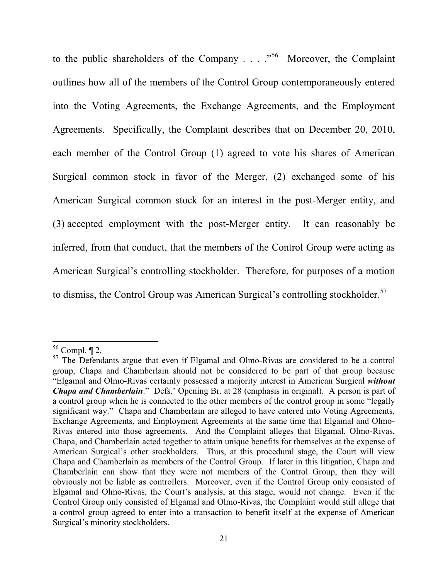to the public shareholders of the Company  $\ldots$   $\cdot$  <sup>56</sup> Moreover, the Complaint outlines how all of the members of the Control Group contemporaneously entered into the Voting Agreements, the Exchange Agreements, and the Employment Agreements. Specifically, the Complaint describes that on December 20, 2010, each member of the Control Group (1) agreed to vote his shares of American Surgical common stock in favor of the Merger, (2) exchanged some of his American Surgical common stock for an interest in the post-Merger entity, and (3) accepted employment with the post-Merger entity. It can reasonably be inferred, from that conduct, that the members of the Control Group were acting as American Surgical's controlling stockholder. Therefore, for purposes of a motion to dismiss, the Control Group was American Surgical's controlling stockholder.<sup>57</sup>

 $56$  Compl.  $\P$  2.

<sup>&</sup>lt;sup>57</sup> The Defendants argue that even if Elgamal and Olmo-Rivas are considered to be a control group, Chapa and Chamberlain should not be considered to be part of that group because "Elgamal and Olmo-Rivas certainly possessed a majority interest in American Surgical *without Chapa and Chamberlain*." Defs.' Opening Br. at 28 (emphasis in original). A person is part of a control group when he is connected to the other members of the control group in some "legally significant way." Chapa and Chamberlain are alleged to have entered into Voting Agreements, Exchange Agreements, and Employment Agreements at the same time that Elgamal and Olmo-Rivas entered into those agreements. And the Complaint alleges that Elgamal, Olmo-Rivas, Chapa, and Chamberlain acted together to attain unique benefits for themselves at the expense of American Surgical's other stockholders. Thus, at this procedural stage, the Court will view Chapa and Chamberlain as members of the Control Group. If later in this litigation, Chapa and Chamberlain can show that they were not members of the Control Group, then they will obviously not be liable as controllers. Moreover, even if the Control Group only consisted of Elgamal and Olmo-Rivas, the Court's analysis, at this stage, would not change. Even if the Control Group only consisted of Elgamal and Olmo-Rivas, the Complaint would still allege that a control group agreed to enter into a transaction to benefit itself at the expense of American Surgical's minority stockholders.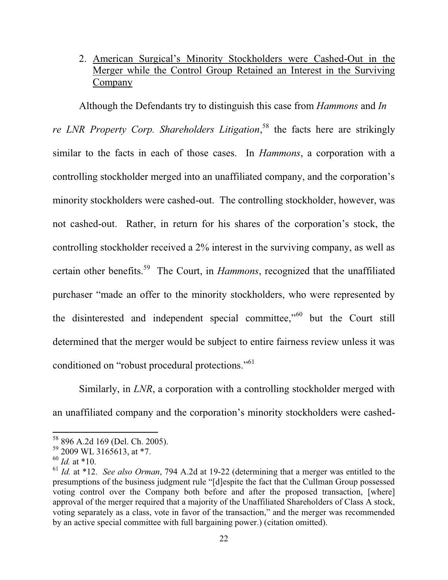# 2. American Surgical's Minority Stockholders were Cashed-Out in the Merger while the Control Group Retained an Interest in the Surviving Company

Although the Defendants try to distinguish this case from *Hammons* and *In*  re *LNR Property Corp. Shareholders Litigation*,<sup>58</sup> the facts here are strikingly similar to the facts in each of those cases. In *Hammons*, a corporation with a controlling stockholder merged into an unaffiliated company, and the corporation's minority stockholders were cashed-out. The controlling stockholder, however, was not cashed-out. Rather, in return for his shares of the corporation's stock, the controlling stockholder received a 2% interest in the surviving company, as well as certain other benefits.59 The Court, in *Hammons*, recognized that the unaffiliated purchaser "made an offer to the minority stockholders, who were represented by the disinterested and independent special committee,"<sup>60</sup> but the Court still determined that the merger would be subject to entire fairness review unless it was conditioned on "robust procedural protections."<sup>61</sup>

 Similarly, in *LNR*, a corporation with a controlling stockholder merged with an unaffiliated company and the corporation's minority stockholders were cashed-

<sup>58 896</sup> A.2d 169 (Del. Ch. 2005).

 $59$  2009 WL 3165613, at \*7.

<sup>60</sup> *Id.* at \*10.

<sup>61</sup> *Id.* at \*12. *See also Orman*, 794 A.2d at 19-22 (determining that a merger was entitled to the presumptions of the business judgment rule "[d]espite the fact that the Cullman Group possessed voting control over the Company both before and after the proposed transaction, [where] approval of the merger required that a majority of the Unaffiliated Shareholders of Class A stock, voting separately as a class, vote in favor of the transaction," and the merger was recommended by an active special committee with full bargaining power.) (citation omitted).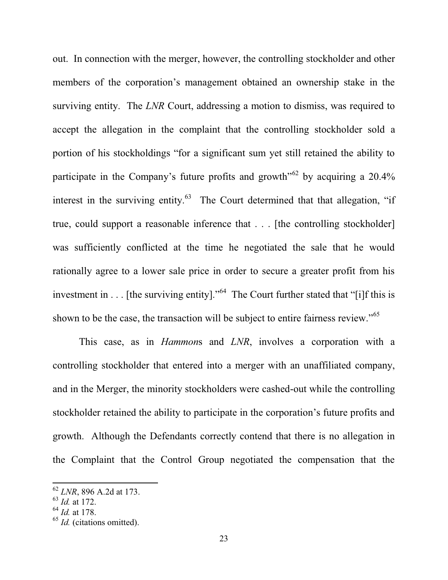out. In connection with the merger, however, the controlling stockholder and other members of the corporation's management obtained an ownership stake in the surviving entity. The *LNR* Court, addressing a motion to dismiss, was required to accept the allegation in the complaint that the controlling stockholder sold a portion of his stockholdings "for a significant sum yet still retained the ability to participate in the Company's future profits and growth<sup> $50$ </sup> by acquiring a 20.4% interest in the surviving entity.<sup>63</sup> The Court determined that that allegation, "if true, could support a reasonable inference that . . . [the controlling stockholder] was sufficiently conflicted at the time he negotiated the sale that he would rationally agree to a lower sale price in order to secure a greater profit from his investment in . . . [the surviving entity]."<sup>64</sup> The Court further stated that "[i]f this is shown to be the case, the transaction will be subject to entire fairness review."<sup>65</sup>

 This case, as in *Hammon*s and *LNR*, involves a corporation with a controlling stockholder that entered into a merger with an unaffiliated company, and in the Merger, the minority stockholders were cashed-out while the controlling stockholder retained the ability to participate in the corporation's future profits and growth. Although the Defendants correctly contend that there is no allegation in the Complaint that the Control Group negotiated the compensation that the

<sup>62</sup> *LNR*, 896 A.2d at 173.

<sup>63</sup> *Id.* at 172.

<sup>64</sup> *Id.* at 178.

<sup>&</sup>lt;sup>65</sup> *Id.* (citations omitted).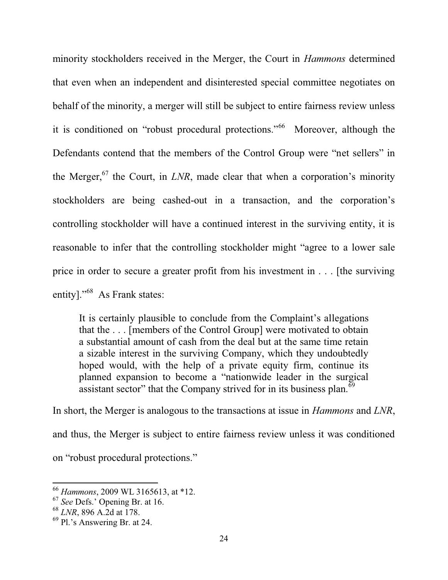minority stockholders received in the Merger, the Court in *Hammons* determined that even when an independent and disinterested special committee negotiates on behalf of the minority, a merger will still be subject to entire fairness review unless it is conditioned on "robust procedural protections."<sup>66</sup> Moreover, although the Defendants contend that the members of the Control Group were "net sellers" in the Merger,<sup>67</sup> the Court, in *LNR*, made clear that when a corporation's minority stockholders are being cashed-out in a transaction, and the corporation's controlling stockholder will have a continued interest in the surviving entity, it is reasonable to infer that the controlling stockholder might "agree to a lower sale price in order to secure a greater profit from his investment in . . . [the surviving entity]. $^{968}$  As Frank states:

It is certainly plausible to conclude from the Complaint's allegations that the . . . [members of the Control Group] were motivated to obtain a substantial amount of cash from the deal but at the same time retain a sizable interest in the surviving Company, which they undoubtedly hoped would, with the help of a private equity firm, continue its planned expansion to become a "nationwide leader in the surgical assistant sector" that the Company strived for in its business plan.<sup>69</sup>

In short, the Merger is analogous to the transactions at issue in *Hammons* and *LNR*, and thus, the Merger is subject to entire fairness review unless it was conditioned on "robust procedural protections."

<sup>66</sup> *Hammons*, 2009 WL 3165613, at \*12.

 $67$  *See* Defs.' Opening Br. at 16.

<sup>68</sup> *LNR*, 896 A.2d at 178.

 $69$  Pl.'s Answering Br. at 24.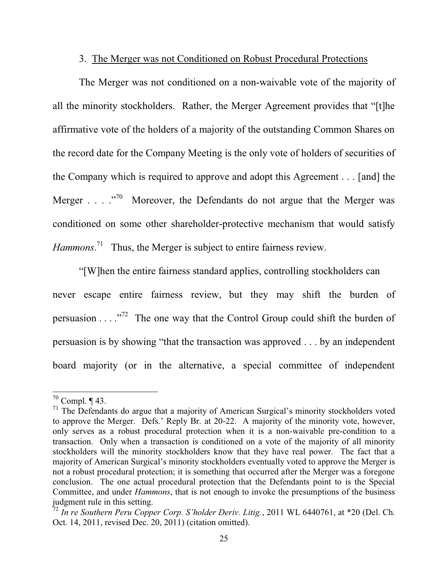#### 3. The Merger was not Conditioned on Robust Procedural Protections

The Merger was not conditioned on a non-waivable vote of the majority of all the minority stockholders. Rather, the Merger Agreement provides that "[t]he affirmative vote of the holders of a majority of the outstanding Common Shares on the record date for the Company Meeting is the only vote of holders of securities of the Company which is required to approve and adopt this Agreement . . . [and] the Merger  $\ldots$   $\cdot$  <sup>70</sup> Moreover, the Defendants do not argue that the Merger was conditioned on some other shareholder-protective mechanism that would satisfy Hammons.<sup>71</sup> Thus, the Merger is subject to entire fairness review.

"[W]hen the entire fairness standard applies, controlling stockholders can never escape entire fairness review, but they may shift the burden of persuasion . . . ´72 The one way that the Control Group could shift the burden of persuasion is by showing "that the transaction was approved  $\dots$  by an independent board majority (or in the alternative, a special committee of independent

 $70$  Compl.  $\P$  43.

<sup>&</sup>lt;sup>71</sup> The Defendants do argue that a majority of American Surgical's minority stockholders voted to approve the Merger. Defs.' Reply Br. at 20-22. A majority of the minority vote, however, only serves as a robust procedural protection when it is a non-waivable pre-condition to a transaction. Only when a transaction is conditioned on a vote of the majority of all minority stockholders will the minority stockholders know that they have real power. The fact that a majority of American Surgical's minority stockholders eventually voted to approve the Merger is not a robust procedural protection; it is something that occurred after the Merger was a foregone conclusion. The one actual procedural protection that the Defendants point to is the Special Committee, and under *Hammons*, that is not enough to invoke the presumptions of the business judgment rule in this setting.

<sup>&</sup>lt;sup>72</sup> In re Southern Peru Copper Corp. S'holder Deriv. Litig., 2011 WL 6440761, at \*20 (Del. Ch. Oct. 14, 2011, revised Dec. 20, 2011) (citation omitted).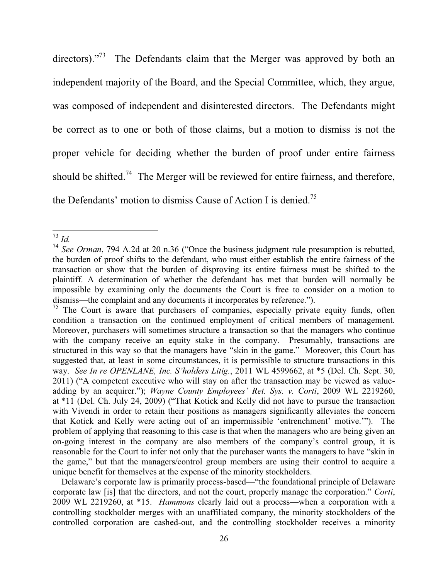directors). $\frac{1}{73}$  The Defendants claim that the Merger was approved by both an independent majority of the Board, and the Special Committee, which, they argue, was composed of independent and disinterested directors. The Defendants might be correct as to one or both of those claims, but a motion to dismiss is not the proper vehicle for deciding whether the burden of proof under entire fairness should be shifted.<sup>74</sup> The Merger will be reviewed for entire fairness, and therefore, the Defendants' motion to dismiss Cause of Action I is denied.<sup>75</sup>

 $^{73}$  *Id.* 

<sup>&</sup>lt;sup>74</sup> *See Orman*, 794 A.2d at 20 n.36 ("Once the business judgment rule presumption is rebutted, the burden of proof shifts to the defendant, who must either establish the entire fairness of the transaction or show that the burden of disproving its entire fairness must be shifted to the plaintiff. A determination of whether the defendant has met that burden will normally be impossible by examining only the documents the Court is free to consider on a motion to  $dismiss$ —the complaint and any documents it incorporates by reference.").

<sup>&</sup>lt;sup>75</sup> The Court is aware that purchasers of companies, especially private equity funds, often condition a transaction on the continued employment of critical members of management. Moreover, purchasers will sometimes structure a transaction so that the managers who continue with the company receive an equity stake in the company. Presumably, transactions are structured in this way so that the managers have "skin in the game." Moreover, this Court has suggested that, at least in some circumstances, it is permissible to structure transactions in this way. *See In re OPENLANE, Inc. S'holders Litig.*, 2011 WL 4599662, at \*5 (Del. Ch. Sept. 30,  $2011$ ) ("A competent executive who will stay on after the transaction may be viewed as valueadding by an acquirer."); *Wayne County Employees' Ret. Sys. v. Corti*, 2009 WL 2219260, at \*11 (Del. Ch. July 24, 2009) ("That Kotick and Kelly did not have to pursue the transaction with Vivendi in order to retain their positions as managers significantly alleviates the concern that Kotick and Kelly were acting out of an impermissible 'entrenchment' motive.""). The problem of applying that reasoning to this case is that when the managers who are being given an on-going interest in the company are also members of the company's control group, it is reasonable for the Court to infer not only that the purchaser wants the managers to have "skin in the game," but that the managers/control group members are using their control to acquire a unique benefit for themselves at the expense of the minority stockholders.

Delaware's corporate law is primarily process-based—"the foundational principle of Delaware corporate law [is] that the directors, and not the court, properly manage the corporation." Corti, 2009 WL 2219260, at \*15. *Hammons* clearly laid out a process—when a corporation with a controlling stockholder merges with an unaffiliated company, the minority stockholders of the controlled corporation are cashed-out, and the controlling stockholder receives a minority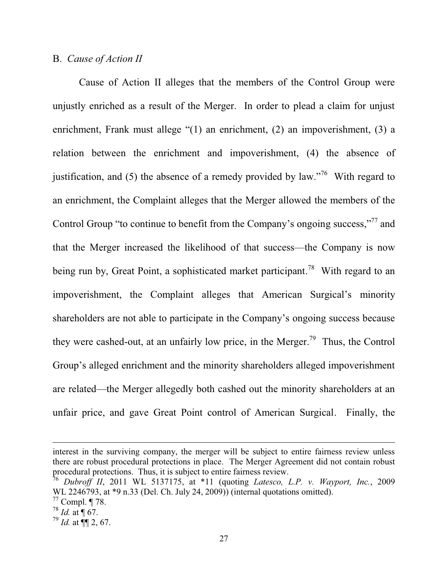#### B. *Cause of Action II*

 Cause of Action II alleges that the members of the Control Group were unjustly enriched as a result of the Merger. In order to plead a claim for unjust enrichment, Frank must allege  $\degree(1)$  an enrichment, (2) an impoverishment, (3) a relation between the enrichment and impoverishment, (4) the absence of justification, and (5) the absence of a remedy provided by law.<sup>76</sup> With regard to an enrichment, the Complaint alleges that the Merger allowed the members of the Control Group "to continue to benefit from the Company's ongoing success,"<sup>77</sup> and that the Merger increased the likelihood of that success—the Company is now being run by, Great Point, a sophisticated market participant.<sup>78</sup> With regard to an impoverishment, the Complaint alleges that American Surgical's minority shareholders are not able to participate in the Company's ongoing success because they were cashed-out, at an unfairly low price, in the Merger.<sup>79</sup> Thus, the Control Group's alleged enrichment and the minority shareholders alleged impoverishment are related—the Merger allegedly both cashed out the minority shareholders at an unfair price, and gave Great Point control of American Surgical. Finally, the

interest in the surviving company, the merger will be subject to entire fairness review unless there are robust procedural protections in place. The Merger Agreement did not contain robust procedural protections. Thus, it is subject to entire fairness review.

<sup>76</sup> *Dubroff II*, 2011 WL 5137175, at \*11 (quoting *Latesco, L.P. v. Wayport, Inc.*, 2009 WL 2246793, at \*9 n.33 (Del. Ch. July 24, 2009)) (internal quotations omitted).

 $77$  Compl. ¶ 78.

 $^{78}$  *Id.* at  $\P$  67.

 $^{79}$  *Id.* at  $\P\P$  2, 67.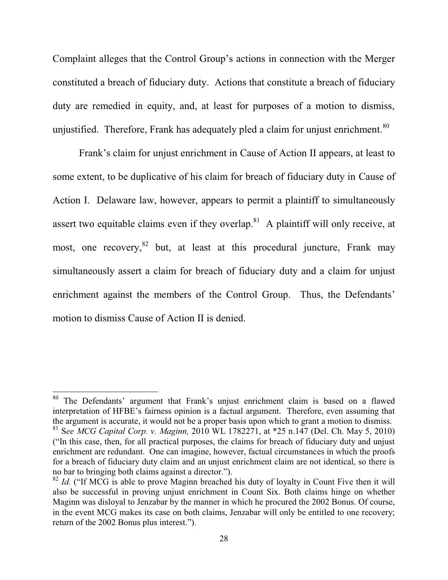Complaint alleges that the Control Group's actions in connection with the Merger constituted a breach of fiduciary duty. Actions that constitute a breach of fiduciary duty are remedied in equity, and, at least for purposes of a motion to dismiss, unjustified. Therefore, Frank has adequately pled a claim for unjust enrichment.<sup>80</sup>

Frank's claim for unjust enrichment in Cause of Action II appears, at least to some extent, to be duplicative of his claim for breach of fiduciary duty in Cause of Action I. Delaware law, however, appears to permit a plaintiff to simultaneously assert two equitable claims even if they overlap.<sup>81</sup> A plaintiff will only receive, at most, one recovery,  $82$  but, at least at this procedural juncture, Frank may simultaneously assert a claim for breach of fiduciary duty and a claim for unjust enrichment against the members of the Control Group. Thus, the Defendants' motion to dismiss Cause of Action II is denied.

The Defendants' argument that Frank's unjust enrichment claim is based on a flawed interpretation of HFBE's fairness opinion is a factual argument. Therefore, even assuming that the argument is accurate, it would not be a proper basis upon which to grant a motion to dismiss. 81 S*ee MCG Capital Corp. v. Maginn,* 2010 WL 1782271, at \*25 n.147 (Del. Ch. May 5, 2010) ("In this case, then, for all practical purposes, the claims for breach of fiduciary duty and unjust enrichment are redundant. One can imagine, however, factual circumstances in which the proofs for a breach of fiduciary duty claim and an unjust enrichment claim are not identical, so there is no bar to bringing both claims against a director.").

 $82$  *Id.* ("If MCG is able to prove Maginn breached his duty of loyalty in Count Five then it will also be successful in proving unjust enrichment in Count Six. Both claims hinge on whether Maginn was disloyal to Jenzabar by the manner in which he procured the 2002 Bonus. Of course, in the event MCG makes its case on both claims, Jenzabar will only be entitled to one recovery; return of the 2002 Bonus plus interest.").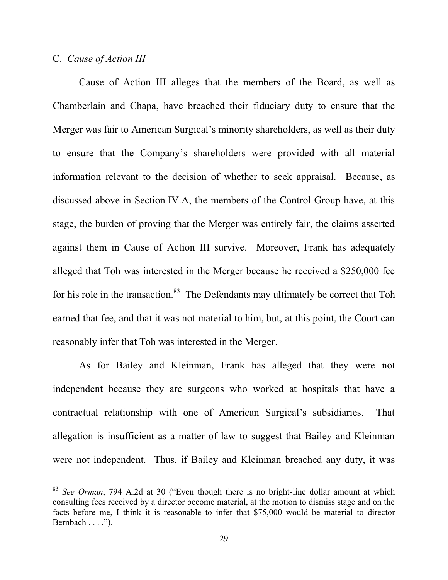#### C. *Cause of Action III*

 $\overline{a}$ 

Cause of Action III alleges that the members of the Board, as well as Chamberlain and Chapa, have breached their fiduciary duty to ensure that the Merger was fair to American Surgical's minority shareholders, as well as their duty to ensure that the Company's shareholders were provided with all material information relevant to the decision of whether to seek appraisal. Because, as discussed above in Section IV.A, the members of the Control Group have, at this stage, the burden of proving that the Merger was entirely fair, the claims asserted against them in Cause of Action III survive. Moreover, Frank has adequately alleged that Toh was interested in the Merger because he received a \$250,000 fee for his role in the transaction.<sup>83</sup> The Defendants may ultimately be correct that Toh earned that fee, and that it was not material to him, but, at this point, the Court can reasonably infer that Toh was interested in the Merger.

As for Bailey and Kleinman, Frank has alleged that they were not independent because they are surgeons who worked at hospitals that have a contractual relationship with one of American Surgical's subsidiaries. That allegation is insufficient as a matter of law to suggest that Bailey and Kleinman were not independent. Thus, if Bailey and Kleinman breached any duty, it was

 $83$  *See Orman*, 794 A.2d at 30 ("Even though there is no bright-line dollar amount at which consulting fees received by a director become material, at the motion to dismiss stage and on the facts before me, I think it is reasonable to infer that \$75,000 would be material to director  $Bernbach \ldots$ .").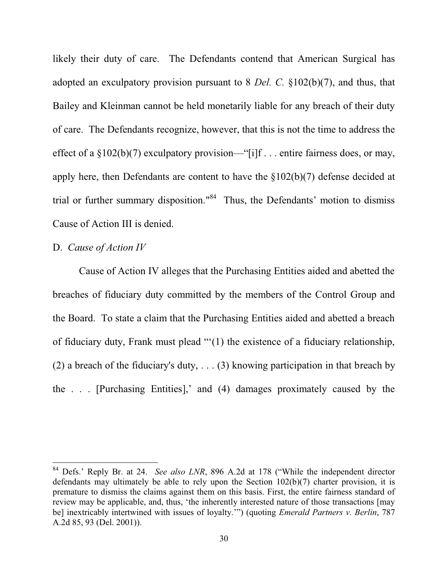likely their duty of care. The Defendants contend that American Surgical has adopted an exculpatory provision pursuant to 8 *Del. C.* §102(b)(7), and thus, that Bailey and Kleinman cannot be held monetarily liable for any breach of their duty of care. The Defendants recognize, however, that this is not the time to address the effect of a  $\S 102(b)(7)$  exculpatory provision—"[i]f . . . entire fairness does, or may, apply here, then Defendants are content to have the §102(b)(7) defense decided at trial or further summary disposition."<sup>84</sup> Thus, the Defendants' motion to dismiss Cause of Action III is denied.

## D. *Cause of Action IV*

 $\overline{a}$ 

Cause of Action IV alleges that the Purchasing Entities aided and abetted the breaches of fiduciary duty committed by the members of the Control Group and the Board. To state a claim that the Purchasing Entities aided and abetted a breach of fiduciary duty, Frank must plead " $(1)$  the existence of a fiduciary relationship, (2) a breach of the fiduciary's duty, . . . (3) knowing participation in that breach by the ... [Purchasing Entities],' and (4) damages proximately caused by the

<sup>&</sup>lt;sup>84</sup> Defs.' Reply Br. at 24. *See also LNR*, 896 A.2d at 178 ("While the independent director defendants may ultimately be able to rely upon the Section 102(b)(7) charter provision, it is premature to dismiss the claims against them on this basis. First, the entire fairness standard of review may be applicable, and, thus, 'the inherently interested nature of those transactions [may be] inextricably intertwined with issues of loyalty."") (quoting *Emerald Partners v. Berlin*, 787 A.2d 85, 93 (Del. 2001)).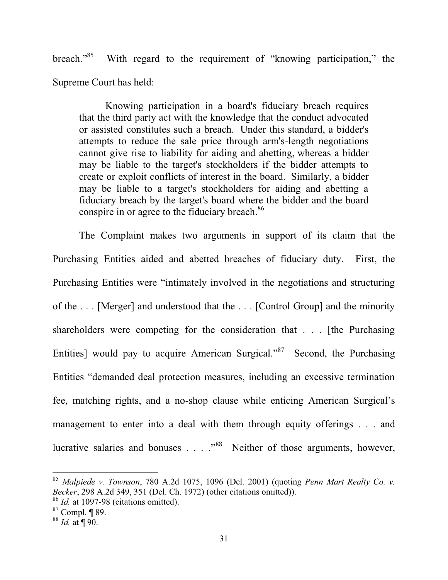breach."<sup>85</sup> With regard to the requirement of "knowing participation," the Supreme Court has held:

Knowing participation in a board's fiduciary breach requires that the third party act with the knowledge that the conduct advocated or assisted constitutes such a breach. Under this standard, a bidder's attempts to reduce the sale price through arm's-length negotiations cannot give rise to liability for aiding and abetting, whereas a bidder may be liable to the target's stockholders if the bidder attempts to create or exploit conflicts of interest in the board. Similarly, a bidder may be liable to a target's stockholders for aiding and abetting a fiduciary breach by the target's board where the bidder and the board conspire in or agree to the fiduciary breach.<sup>86</sup>

The Complaint makes two arguments in support of its claim that the Purchasing Entities aided and abetted breaches of fiduciary duty. First, the Purchasing Entities were "intimately involved in the negotiations and structuring of the . . . [Merger] and understood that the . . . [Control Group] and the minority shareholders were competing for the consideration that . . . [the Purchasing Entities] would pay to acquire American Surgical." $87$  Second, the Purchasing Entities "demanded deal protection measures, including an excessive termination fee, matching rights, and a no-shop clause while enticing American Surgical's management to enter into a deal with them through equity offerings . . . and lucrative salaries and bonuses  $\ldots$   $\cdot$  <sup>88</sup> Neither of those arguments, however,

<sup>85</sup> *Malpiede v. Townson*, 780 A.2d 1075, 1096 (Del. 2001) (quoting *Penn Mart Realty Co. v. Becker*, 298 A.2d 349, 351 (Del. Ch. 1972) (other citations omitted)). <sup>86</sup> *Id.* at 1097-98 (citations omitted).

 $87$  Compl. ¶ 89.

<sup>88</sup> *Id.* at ¶ 90.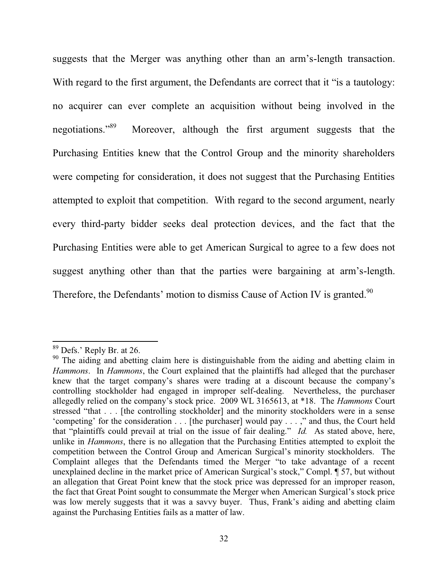suggests that the Merger was anything other than an arm's-length transaction. With regard to the first argument, the Defendants are correct that it "is a tautology: no acquirer can ever complete an acquisition without being involved in the negotiations."<sup>89</sup> Moreover, although the first argument suggests that the Purchasing Entities knew that the Control Group and the minority shareholders were competing for consideration, it does not suggest that the Purchasing Entities attempted to exploit that competition. With regard to the second argument, nearly every third-party bidder seeks deal protection devices, and the fact that the Purchasing Entities were able to get American Surgical to agree to a few does not suggest anything other than that the parties were bargaining at arm's-length. Therefore, the Defendants' motion to dismiss Cause of Action IV is granted.<sup>90</sup>

 $89$  Defs.' Reply Br. at 26.

<sup>&</sup>lt;sup>90</sup> The aiding and abetting claim here is distinguishable from the aiding and abetting claim in *Hammons*. In *Hammons*, the Court explained that the plaintiffs had alleged that the purchaser knew that the target company's shares were trading at a discount because the company's controlling stockholder had engaged in improper self-dealing. Nevertheless, the purchaser allegedly relied on the company's stock price. 2009 WL 3165613, at \*18. The *Hammons* Court stressed "that . . . [the controlling stockholder] and the minority stockholders were in a sense 'competing' for the consideration  $\ldots$  [the purchaser] would pay  $\ldots$ ," and thus, the Court held that "plaintiffs could prevail at trial on the issue of fair dealing." *Id.* As stated above, here, unlike in *Hammons*, there is no allegation that the Purchasing Entities attempted to exploit the competition between the Control Group and American Surgical's minority stockholders. The Complaint alleges that the Defendants timed the Merger "to take advantage of a recent unexplained decline in the market price of American Surgical's stock," Compl. ¶ 57, but without an allegation that Great Point knew that the stock price was depressed for an improper reason, the fact that Great Point sought to consummate the Merger when American Surgical's stock price was low merely suggests that it was a savvy buyer. Thus, Frank's aiding and abetting claim against the Purchasing Entities fails as a matter of law.